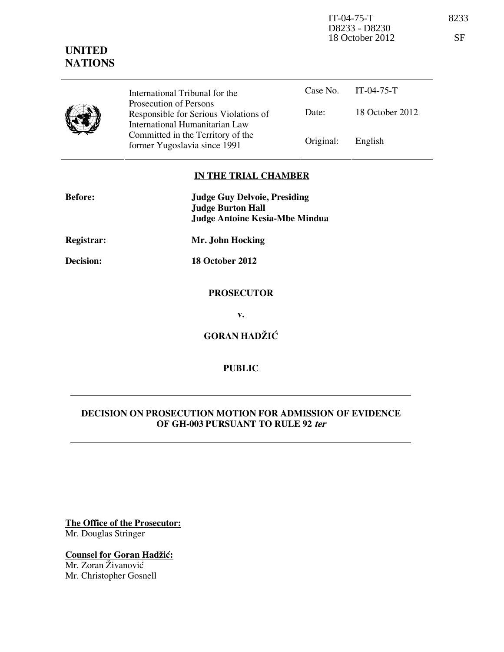IT-04-75-T 8233 D8233 - D8230 18 October 2012 SF

# **UNITED NATIONS**

Case No. IT-04-75-T Date: 18 October 2012 International Tribunal for the Prosecution of Persons Responsible for Serious Violations of International Humanitarian Law Committed in the Territory of the Former Yugoslavia since 1991 Original: English

## **IN THE TRIAL CHAMBER**

| <b>Before:</b> | <b>Judge Guy Delvoie, Presiding</b>   |
|----------------|---------------------------------------|
|                | <b>Judge Burton Hall</b>              |
|                | <b>Judge Antoine Kesia-Mbe Mindua</b> |
| Registrar:     | Mr. John Hocking                      |
| Decision:      | 18 October 2012                       |
|                | <b>PROSECUTOR</b>                     |
|                | v.                                    |
|                | <b>GORAN HADŽIĆ</b>                   |
|                |                                       |

## **PUBLIC**

## **DECISION ON PROSECUTION MOTION FOR ADMISSION OF EVIDENCE OF GH-003 PURSUANT TO RULE 92 ter**

**The Office of the Prosecutor:** Mr. Douglas Stringer

**Counsel for Goran Hadžić:** Mr. Zoran Živanović Mr. Christopher Gosnell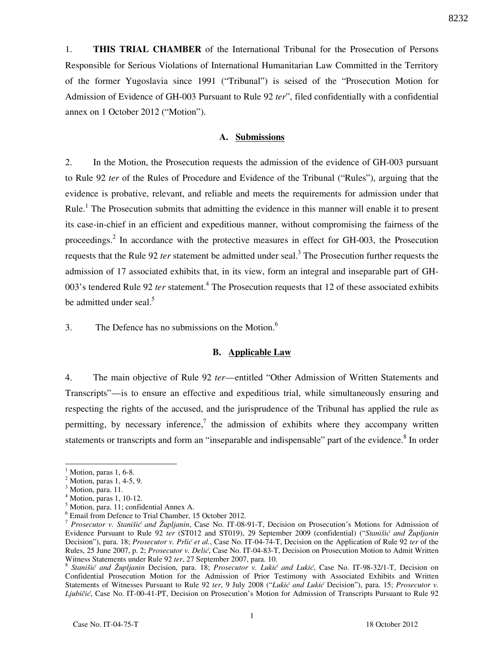1. **THIS TRIAL CHAMBER** of the International Tribunal for the Prosecution of Persons Responsible for Serious Violations of International Humanitarian Law Committed in the Territory of the former Yugoslavia since 1991 ("Tribunal") is seised of the "Prosecution Motion for Admission of Evidence of GH-003 Pursuant to Rule 92 *ter*", filed confidentially with a confidential annex on 1 October 2012 ("Motion").

#### **A. Submissions**

2. In the Motion, the Prosecution requests the admission of the evidence of GH-003 pursuant to Rule 92 *ter* of the Rules of Procedure and Evidence of the Tribunal ("Rules"), arguing that the evidence is probative, relevant, and reliable and meets the requirements for admission under that Rule.<sup>1</sup> The Prosecution submits that admitting the evidence in this manner will enable it to present its case-in-chief in an efficient and expeditious manner, without compromising the fairness of the proceedings.<sup>2</sup> In accordance with the protective measures in effect for GH-003, the Prosecution requests that the Rule 92 *ter* statement be admitted under seal.<sup>3</sup> The Prosecution further requests the admission of 17 associated exhibits that, in its view, form an integral and inseparable part of GH-003's tendered Rule 92 *ter* statement.<sup>4</sup> The Prosecution requests that 12 of these associated exhibits be admitted under seal.<sup>5</sup>

3. The Defence has no submissions on the Motion. $<sup>6</sup>$ </sup>

#### **B. Applicable Law**

4. The main objective of Rule 92 *ter*—entitled "Other Admission of Written Statements and Transcripts"—is to ensure an effective and expeditious trial, while simultaneously ensuring and respecting the rights of the accused, and the jurisprudence of the Tribunal has applied the rule as permitting, by necessary inference,<sup>7</sup> the admission of exhibits where they accompany written statements or transcripts and form an "inseparable and indispensable" part of the evidence.<sup>8</sup> In order

 $\overline{a}$ 

 $<sup>1</sup>$  Motion, paras 1, 6-8.</sup>

<sup>&</sup>lt;sup>2</sup> Motion, paras 1, 4-5, 9.

<sup>&</sup>lt;sup>3</sup> Motion, para. 11.

<sup>4</sup> Motion, paras 1, 10-12.

<sup>5</sup> Motion, para. 11; confidential Annex A.

<sup>6</sup> Email from Defence to Trial Chamber, 15 October 2012.

<sup>7</sup> *Prosecutor v. Stanišić and Župljanin*, Case No. IT-08-91-T, Decision on Prosecution's Motions for Admission of Evidence Pursuant to Rule 92 *ter* (ST012 and ST019), 29 September 2009 (confidential) ("*Stanišić and Župljanin* Decision"), para. 18; *Prosecutor v. Prlić et al.*, Case No. IT-04-74-T, Decision on the Application of Rule 92 *ter* of the Rules, 25 June 2007, p. 2; *Prosecutor v. Delić*, Case No. IT-04-83-T, Decision on Prosecution Motion to Admit Written Witness Statements under Rule 92 *ter*, 27 September 2007, para. 10.

<sup>&</sup>lt;sup>8</sup> Stanišić and Župljanin Decision, para. 18; Prosecutor v. Lukić and Lukić, Case No. IT-98-32/1-T, Decision on Confidential Prosecution Motion for the Admission of Prior Testimony with Associated Exhibits and Written Statements of Witnesses Pursuant to Rule 92 ter, 9 July 2008 ("Lukić and Lukić Decision"), para. 15; *Prosecutor v. Ljubičić*, Case No. IT-00-41-PT, Decision on Prosecution's Motion for Admission of Transcripts Pursuant to Rule 92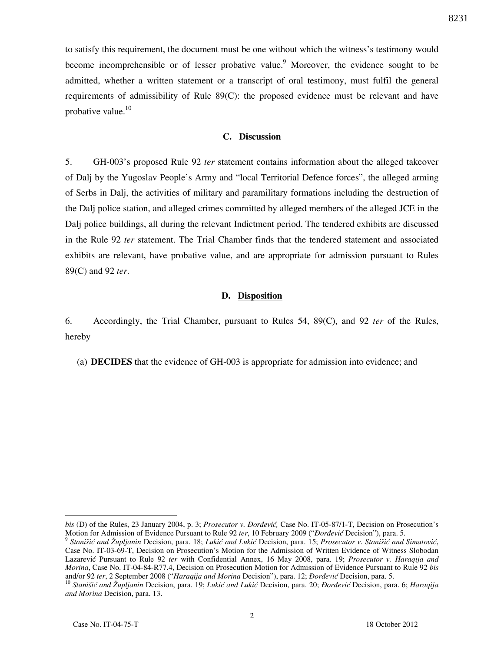to satisfy this requirement, the document must be one without which the witness's testimony would become incomprehensible or of lesser probative value. Moreover, the evidence sought to be admitted, whether a written statement or a transcript of oral testimony, must fulfil the general requirements of admissibility of Rule 89(C): the proposed evidence must be relevant and have probative value. $10$ 

### **C. Discussion**

5. GH-003's proposed Rule 92 *ter* statement contains information about the alleged takeover of Dalj by the Yugoslav People's Army and "local Territorial Defence forces", the alleged arming of Serbs in Dalj, the activities of military and paramilitary formations including the destruction of the Dalj police station, and alleged crimes committed by alleged members of the alleged JCE in the Dalj police buildings, all during the relevant Indictment period. The tendered exhibits are discussed in the Rule 92 *ter* statement. The Trial Chamber finds that the tendered statement and associated exhibits are relevant, have probative value, and are appropriate for admission pursuant to Rules 89(C) and 92 *ter*.

#### **D. Disposition**

6. Accordingly, the Trial Chamber, pursuant to Rules 54, 89(C), and 92 *ter* of the Rules, hereby

(a) **DECIDES** that the evidence of GH-003 is appropriate for admission into evidence; and

 $\overline{a}$ 

*bis* (D) of the Rules, 23 January 2004, p. 3; *Prosecutor v. Đorđević*, Case No. IT-05-87/1-T, Decision on Prosecution's Motion for Admission of Evidence Pursuant to Rule 92 *ter*, 10 February 2009 ("*Dordević* Decision"), para. 5.

<sup>&</sup>lt;sup>9</sup> Stanišić and Župljanin Decision, para. 18; Lukić and Lukić Decision, para. 15; Prosecutor v. Stanišić and Simatović, Case No. IT-03-69-T, Decision on Prosecution's Motion for the Admission of Written Evidence of Witness Slobodan Lazarevi} Pursuant to Rule 92 *ter* with Confidential Annex, 16 May 2008, para. 19; *Prosecutor v. Haraqija and Morina*, Case No. IT-04-84-R77.4, Decision on Prosecution Motion for Admission of Evidence Pursuant to Rule 92 *bis* and/or 92 ter, 2 September 2008 ("Haraqija and Morina Decision"), para. 12; *Đorđević* Decision, para. 5.

<sup>&</sup>lt;sup>10</sup> Stanišić and Župljanin Decision, para. 19; Lukić and Lukić Decision, para. 20; *Đorđević* Decision, para. 6; *Haraqija and Morina* Decision, para. 13.